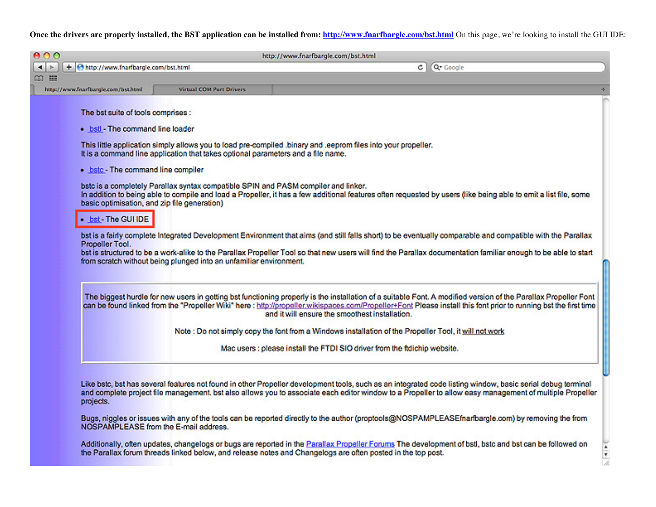## Once the drivers are properly installed, the BST application can be installed from: http://www.fnarfbargle.com/bst.html On this page, we're looking to install the GUI IDE:

| $\leftarrow$<br>∞ ⊞ |                                                                                                                                                                                                        |                                                                                                                                                                        | http://www.fnarfbargle.com/bst.html                                                                                                                                                                                                                                                                                                                                                                                                                                                                                                                                                                              |
|---------------------|--------------------------------------------------------------------------------------------------------------------------------------------------------------------------------------------------------|------------------------------------------------------------------------------------------------------------------------------------------------------------------------|------------------------------------------------------------------------------------------------------------------------------------------------------------------------------------------------------------------------------------------------------------------------------------------------------------------------------------------------------------------------------------------------------------------------------------------------------------------------------------------------------------------------------------------------------------------------------------------------------------------|
|                     | + Ohttp://www.fnarfbargle.com/bst.html                                                                                                                                                                 |                                                                                                                                                                        | Q- Google<br>¢Ι                                                                                                                                                                                                                                                                                                                                                                                                                                                                                                                                                                                                  |
|                     |                                                                                                                                                                                                        |                                                                                                                                                                        |                                                                                                                                                                                                                                                                                                                                                                                                                                                                                                                                                                                                                  |
|                     | http://www.fnarfbargle.com/bst.html                                                                                                                                                                    | <b>Virtual COM Port Drivers</b>                                                                                                                                        |                                                                                                                                                                                                                                                                                                                                                                                                                                                                                                                                                                                                                  |
|                     | The bst suite of tools comprises :<br>. bstl - The command line loader<br>. bstc - The command line compiler<br>basic optimisation, and zip file generation)<br>. bst - The GUI IDE<br>Propeller Tool. | It is a command line application that takes optional parameters and a file name.<br>bstc is a completely Parallax syntax compatible SPIN and PASM compiler and linker. | This little application simply allows you to load pre-compiled .binary and .eeprom files into your propeller.<br>In addition to being able to compile and load a Propeller, it has a few additional features often requested by users (like being able to emit a list file, some<br>bst is a fairly complete Integrated Development Environment that aims (and still falls short) to be eventually comparable and compatible with the Parallax<br>bst is structured to be a work-alike to the Parallax Propeller Tool so that new users will find the Parallax documentation familiar enough to be able to start |
|                     |                                                                                                                                                                                                        | from scratch without being plunged into an unfamiliar environment.                                                                                                     | The biggest hurdle for new users in getting bst functioning properly is the installation of a suitable Font. A modified version of the Parallax Propeller Font<br>can be found linked from the "Propeller Wiki" here : http://propeller.wikispaces.com/Propeller+Font Please install this font prior to running bst the first time<br>and it will ensure the smoothest installation.                                                                                                                                                                                                                             |
|                     |                                                                                                                                                                                                        |                                                                                                                                                                        | Note : Do not simply copy the font from a Windows installation of the Propeller Tool, it will not work<br>Mac users : please install the FTDI SIO driver from the ftdichip website.                                                                                                                                                                                                                                                                                                                                                                                                                              |

Additionally, often updates, changelogs or bugs are reported in the Parallax Propeller Forums The development of bstl, bstc and bst can be followed on<br>the Parallax forum threads linked below, and release notes and Changelo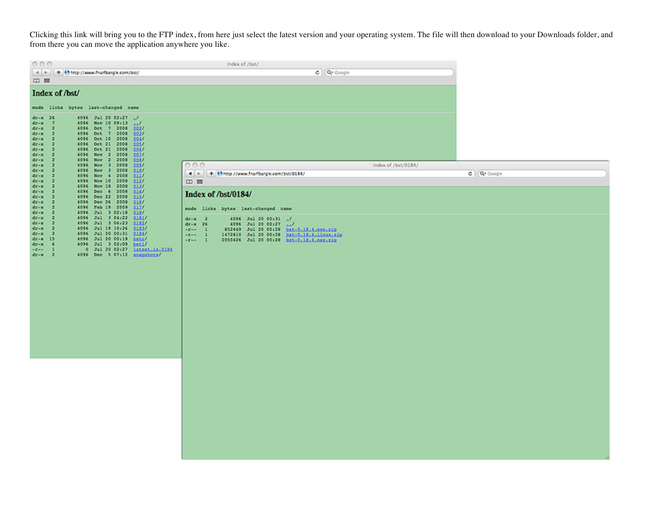Clicking this link will bring you to the FTP index, from here just select the latest version and your operating system. The file will then download to your Downloads folder, and from there you can move the application anywhere you like.

| 000                                                                                                                                                                                                                                                                                                                                                                                                                                                                          | Index of /bst/                                                                                                                                                                                                                                 |                |
|------------------------------------------------------------------------------------------------------------------------------------------------------------------------------------------------------------------------------------------------------------------------------------------------------------------------------------------------------------------------------------------------------------------------------------------------------------------------------|------------------------------------------------------------------------------------------------------------------------------------------------------------------------------------------------------------------------------------------------|----------------|
| A<br>+ Chttp://www.fnarfbargle.com/bst/                                                                                                                                                                                                                                                                                                                                                                                                                                      | C Q Coople                                                                                                                                                                                                                                     |                |
|                                                                                                                                                                                                                                                                                                                                                                                                                                                                              |                                                                                                                                                                                                                                                |                |
| Index of /bst/<br>mode links bytes last-changed name                                                                                                                                                                                                                                                                                                                                                                                                                         |                                                                                                                                                                                                                                                |                |
| 4096 3ul 20 02:27 1/<br>$dx - x$<br>-26<br>$dx - x$<br>7<br>4096 Nov 10 09:13<br>المعد<br>4096 Oct 7 2008<br>$dx - x$<br>$\overline{2}$<br>402I<br>4096 Oct 7 2008<br>dir-K<br>-2<br>4937<br>4096 Oct 10 2008<br>$dx - x$<br>$\overline{z}$<br>994/<br>4096 Oct 21 2008<br>$dx - x$<br>$\mathbf{r}$<br>3957<br>4096 Oct 21 2008<br>-2<br>2257<br>$48 - 10$<br>4096 Nov 2 2008<br>$dx - x$<br>$\overline{2}$<br>397I<br>4096 Nov 2 2008<br>$\overline{2}$<br>$dx - x$<br>2037 |                                                                                                                                                                                                                                                |                |
| 4096 Nov 3 2008<br>$\rightarrow$<br>dr-K<br>222                                                                                                                                                                                                                                                                                                                                                                                                                              | 000<br>Index of /bst/0184/                                                                                                                                                                                                                     |                |
| 4096 Nov 3 2008<br>$dx - x$<br>$\overline{2}$<br>9197<br>а<br>4096 Nov 4 2008<br>$dx - x$<br>9117                                                                                                                                                                                                                                                                                                                                                                            | 4 H + Ohttp://www.fnarfbargle.com/bst/0184/                                                                                                                                                                                                    | $G$ $Q$ Coogle |
| 4096 Nov 10 2008<br>212I<br>$dx - x$<br>2<br>z                                                                                                                                                                                                                                                                                                                                                                                                                               | $\omega$ =                                                                                                                                                                                                                                     |                |
| 4096 Nov 10 2008<br>$dr - x$<br>9337<br>4096 Dec 6 2008<br>dr-x<br>÷<br>9147<br>4096 Dec 22 2008<br>2157<br>$dx - x$<br>×<br>4096 Dec 26 2008<br>0167<br>$dx - x$<br>12                                                                                                                                                                                                                                                                                                      | Index of /bst/0184/                                                                                                                                                                                                                            |                |
| 4096 Feb 19 2009<br>212/<br>$dx - x$<br>- 2<br>2187<br>$dx - x$<br>- 2                                                                                                                                                                                                                                                                                                                                                                                                       | node links bytes last-changed name                                                                                                                                                                                                             |                |
| 4096 Jul 3 02:18<br>4096 3ul 3 04:22<br>$dx - x$<br>$\rightarrow$<br>0101/<br>4096 Jul 3 06:23<br>$dx - x$<br>- 2<br>2182<br>4096 Jul 19 10:26<br>$dr-x$ 2<br>0103/<br>$dr-x$ 2<br>4096 3ul 20 00:31<br>9194<br>dr-K 15<br>4096 Jul 20 00:19 hatch<br>$dr - x = 6$<br>4096 Jul 3 02:09 hatl/<br>$-1 - 1$<br>0 3ul 20 02:27 intest.is.0194<br>$4x - x = 2$<br>4096 Dec 5 07:12 snapshots/                                                                                     | $dr - x = 2$<br>4096 Jul 20 00:31 J/<br>$dr - x = 26$<br>4096 Jul 20 02:27 AM<br>$-r-1$<br>\$52449 Jul 20 00:20 bat-0.10.4.000.21p<br>1472810 Jul 20 00:28 bst-0.18.4.11mux.zip<br>$ 2 - 1$<br>$-1$<br>2050426 Jul 20 00:28 bst-0.18.4.00x.zip |                |
|                                                                                                                                                                                                                                                                                                                                                                                                                                                                              |                                                                                                                                                                                                                                                |                |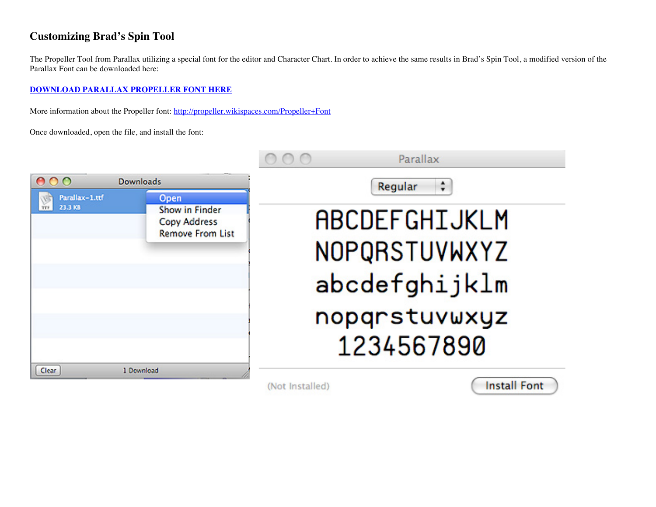## **Customizing Brad's Spin Tool**

The Propeller Tool from Parallax utilizing a special font for the editor and Character Chart. In order to achieve the same results in Brad's Spin Tool, a modified version of the Parallax Font can be downloaded here:

## **DOWNLOAD PARALLAX PROPELLER FONT HERE**

More information about the Propeller font: http://propeller.wikispaces.com/Propeller+Font

Once downloaded, open the file, and install the font:

|                           |                                                                                 | Parallax                                                                       |  |  |
|---------------------------|---------------------------------------------------------------------------------|--------------------------------------------------------------------------------|--|--|
| 000<br><b>Downloads</b>   |                                                                                 | Regular                                                                        |  |  |
| Parallax-1.ttf<br>23.3 KB | <b>Open</b><br>Show in Finder<br><b>Copy Address</b><br><b>Remove From List</b> | ABCDEFGHIJKLM<br>NOPQRSTUVWXYZ<br>abcdefghijklm<br>nopqrstuvwxyz<br>1234567890 |  |  |
| Clear                     | 1 Download                                                                      |                                                                                |  |  |

(Not Installed)

**Install Font**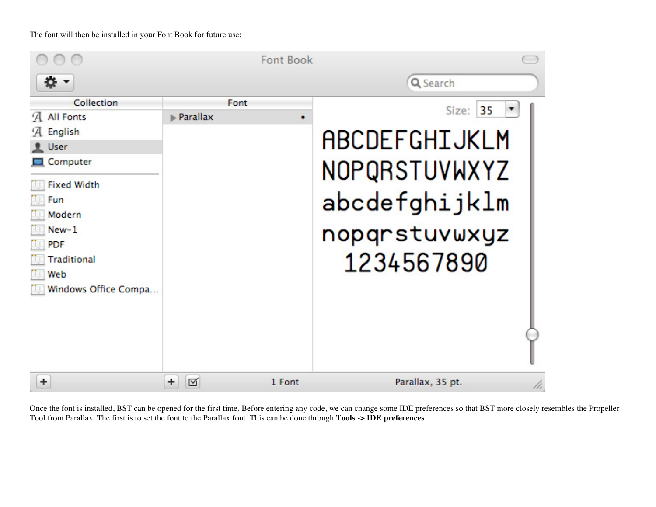The font will then be installed in your Font Book for future use:

|                                                                                                                                                                                  |          | <b>Font Book</b> |                                                                                            |
|----------------------------------------------------------------------------------------------------------------------------------------------------------------------------------|----------|------------------|--------------------------------------------------------------------------------------------|
|                                                                                                                                                                                  |          |                  | Q Search                                                                                   |
| Collection<br>All Fonts<br>ʻА<br>English<br>ʻА<br>User<br>Computer<br><b>Fixed Width</b><br>Fun<br>Modern<br>$New-1$<br><b>PDF</b><br>Traditional<br>Web<br>Windows Office Compa | Parallax | Font             | Size: 35<br>ABCDEFGHIJKLM<br>NOPQRSTUVWXYZ<br>abcdefghijklm<br>nopqrstuvwxyz<br>1234567890 |
| ٠                                                                                                                                                                                | ٠<br>☑   | 1 Font           | Parallax, 35 pt.<br>h,                                                                     |

Once the font is installed, BST can be opened for the first time. Before entering any code, we can change some IDE preferences so that BST more closely resembles the Propeller Tool from Parallax. The first is to set the font to the Parallax font. This can be done through **Tools -> IDE preferences**.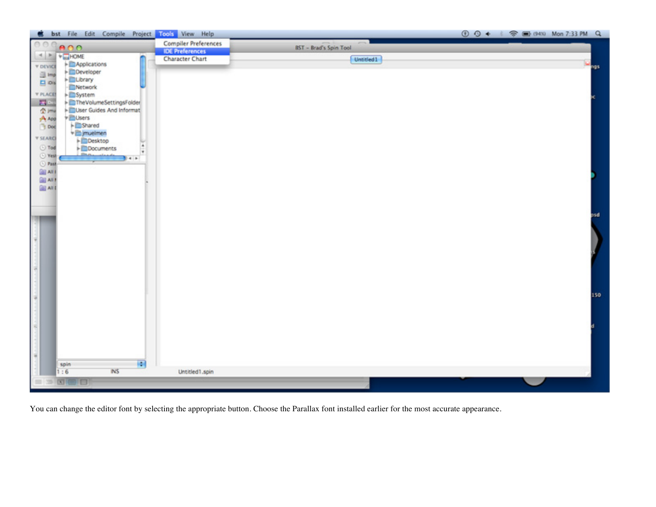

You can change the editor font by selecting the appropriate button. Choose the Parallax font installed earlier for the most accurate appearance.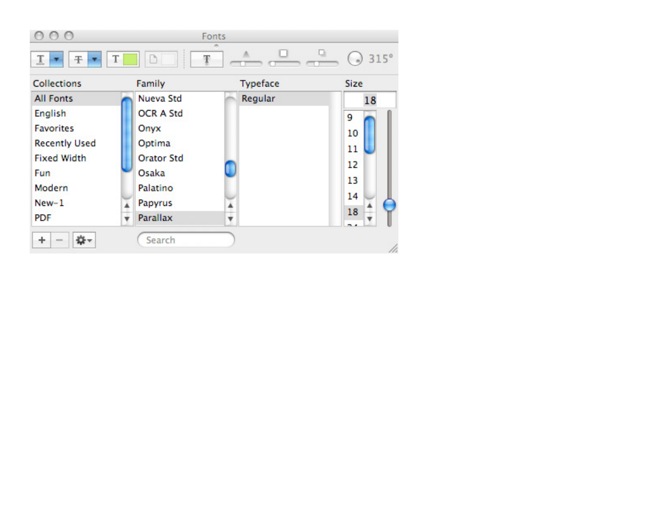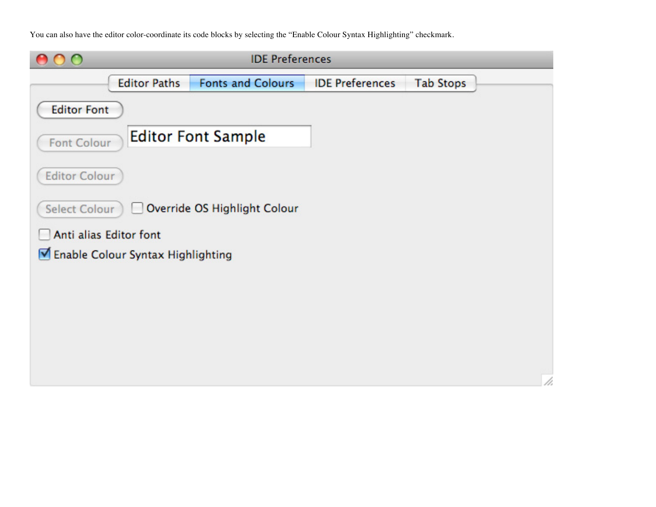You can also have the editor color-coordinate its code blocks by selecting the "Enable Colour Syntax Highlighting" checkmark.

|                                                      | <b>IDE Preferences</b>    |                        |                  |  |  |
|------------------------------------------------------|---------------------------|------------------------|------------------|--|--|
| <b>Editor Paths</b>                                  | <b>Fonts and Colours</b>  | <b>IDE Preferences</b> | <b>Tab Stops</b> |  |  |
| <b>Editor Font</b>                                   |                           |                        |                  |  |  |
| <b>Font Colour</b>                                   | <b>Editor Font Sample</b> |                        |                  |  |  |
| <b>Editor Colour</b>                                 |                           |                        |                  |  |  |
| Override OS Highlight Colour<br><b>Select Colour</b> |                           |                        |                  |  |  |
| Anti alias Editor font                               |                           |                        |                  |  |  |
| Enable Colour Syntax Highlighting                    |                           |                        |                  |  |  |
|                                                      |                           |                        |                  |  |  |
|                                                      |                           |                        |                  |  |  |
|                                                      |                           |                        |                  |  |  |
|                                                      |                           |                        |                  |  |  |
|                                                      |                           |                        |                  |  |  |
|                                                      |                           |                        |                  |  |  |